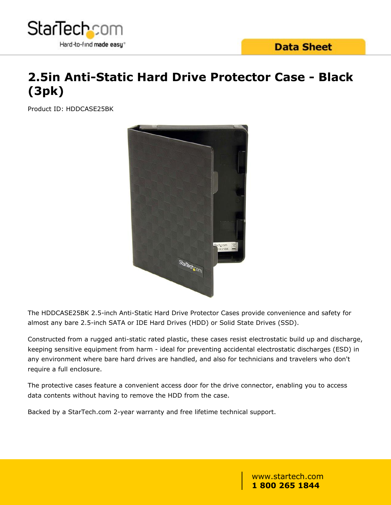

# **2.5in Anti-Static Hard Drive Protector Case - Black (3pk)**

Product ID: HDDCASE25BK



The HDDCASE25BK 2.5-inch Anti-Static Hard Drive Protector Cases provide convenience and safety for almost any bare 2.5-inch SATA or IDE Hard Drives (HDD) or Solid State Drives (SSD).

Constructed from a rugged anti-static rated plastic, these cases resist electrostatic build up and discharge, keeping sensitive equipment from harm - ideal for preventing accidental electrostatic discharges (ESD) in any environment where bare hard drives are handled, and also for technicians and travelers who don't require a full enclosure.

The protective cases feature a convenient access door for the drive connector, enabling you to access data contents without having to remove the HDD from the case.

Backed by a StarTech.com 2-year warranty and free lifetime technical support.

## www.startech.com **1 800 265 1844**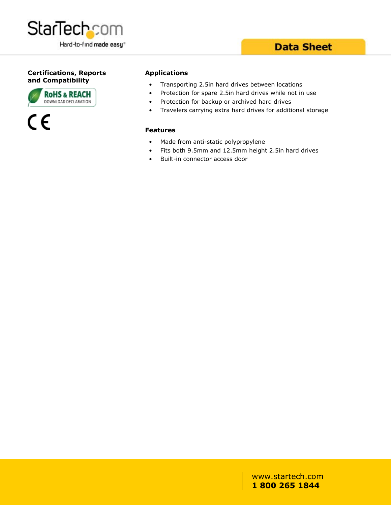

#### **Certifications, Reports and Compatibility**





#### **Applications**

- Transporting 2.5in hard drives between locations
- Protection for spare 2.5in hard drives while not in use
- Protection for backup or archived hard drives
- Travelers carrying extra hard drives for additional storage

#### **Features**

- Made from anti-static polypropylene
- Fits both 9.5mm and 12.5mm height 2.5in hard drives
- Built-in connector access door

### www.startech.com **1 800 265 1844**